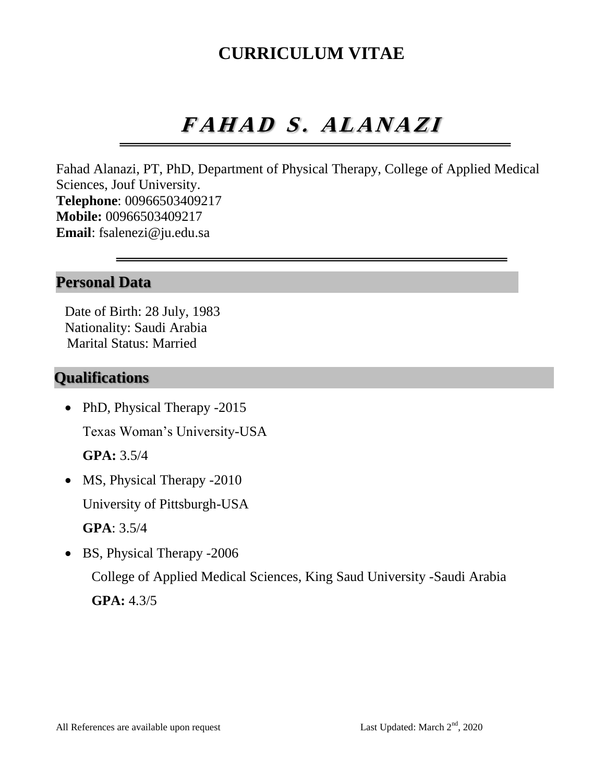# **CURRICULUM VITAE**

# $FAHADS. ALANAZI$

Fahad Alanazi, PT, PhD, Department of Physical Therapy, College of Applied Medical Sciences, Jouf University. **Telephone**: 00966503409217 **Mobile:** 00966503409217 **Email**: fsalenezi@ju.edu.sa

## **Personal Data**

Date of Birth: 28 July, 1983 Nationality: Saudi Arabia Marital Status: Married

### **Qualifications**

• PhD, Physical Therapy -2015 Texas Woman's University-USA

**GPA:** 3.5/4

• MS, Physical Therapy -2010 University of Pittsburgh-USA **GPA**: 3.5/4

• BS, Physical Therapy -2006 College of Applied Medical Sciences, King Saud University -Saudi Arabia **GPA:** 4.3/5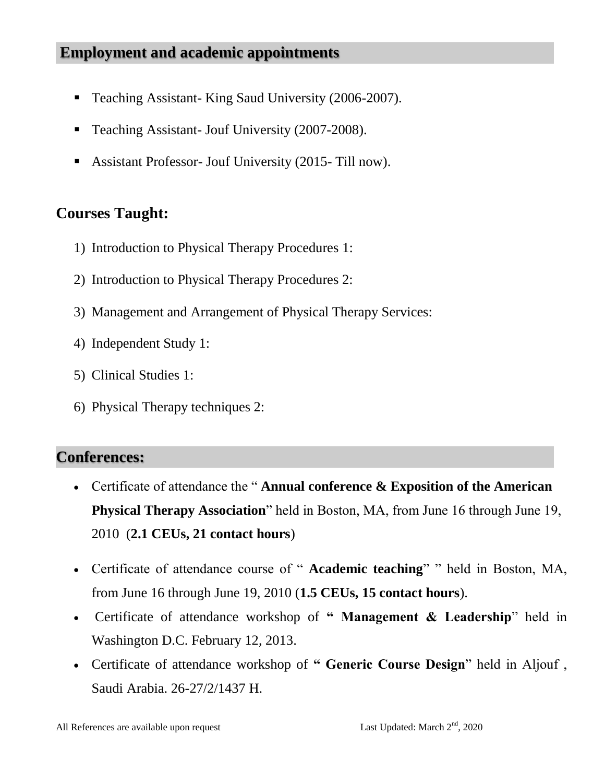# **Employment and academic appointments**

- Teaching Assistant- King Saud University (2006-2007).
- **Teaching Assistant- Jouf University (2007-2008).**
- Assistant Professor- Jouf University (2015- Till now).

# **Courses Taught:**

- 1) Introduction to Physical Therapy Procedures 1:
- 2) Introduction to Physical Therapy Procedures 2:
- 3) Management and Arrangement of Physical Therapy Services:
- 4) Independent Study 1:
- 5) Clinical Studies 1:
- 6) Physical Therapy techniques 2:

# **Conferences:**

- Certificate of attendance the " **Annual conference & Exposition of the American Physical Therapy Association**" held in Boston, MA, from June 16 through June 19, 2010 (**2.1 CEUs, 21 contact hours**)
- Certificate of attendance course of " **Academic teaching**" " held in Boston, MA, from June 16 through June 19, 2010 (**1.5 CEUs, 15 contact hours**).
- Certificate of attendance workshop of **" Management & Leadership**" held in Washington D.C. February 12, 2013.
- Certificate of attendance workshop of **" Generic Course Design**" held in Aljouf , Saudi Arabia. 26-27/2/1437 H.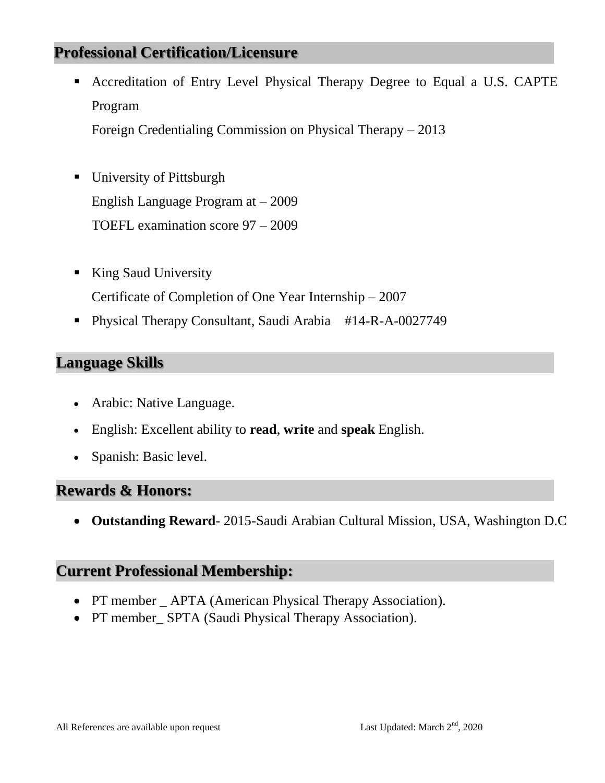# **Professional Certification/Licensure**

 Accreditation of Entry Level Physical Therapy Degree to Equal a U.S. CAPTE Program

Foreign Credentialing Commission on Physical Therapy – 2013

- University of Pittsburgh English Language Program at – 2009 TOEFL examination score 97 – 2009
- King Saud University Certificate of Completion of One Year Internship – 2007
- Physical Therapy Consultant, Saudi Arabia #14-R-A-0027749

#### **Language Skills**

- Arabic: Native Language.
- English: Excellent ability to **read**, **write** and **speak** English.
- Spanish: Basic level.

#### **Rewards & Honors:**

**Outstanding Reward**- 2015-Saudi Arabian Cultural Mission, USA, Washington D.C

#### **Current Professional Membership:**

- PT member \_ APTA (American Physical Therapy Association).
- PT member\_SPTA (Saudi Physical Therapy Association).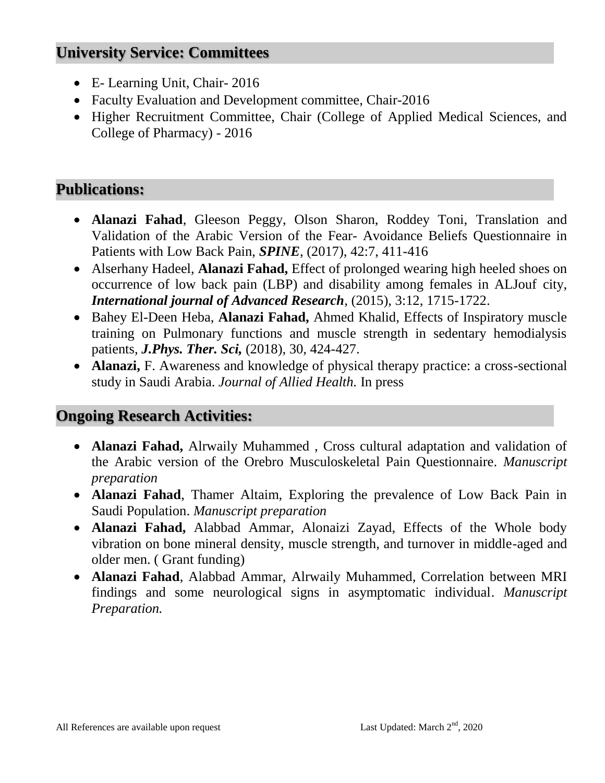# **University Service: Committees**

- E- Learning Unit, Chair- 2016
- Faculty Evaluation and Development committee, Chair-2016
- Higher Recruitment Committee, Chair (College of Applied Medical Sciences, and College of Pharmacy) - 2016

# **Publications:**

- **Alanazi Fahad**, Gleeson Peggy, Olson Sharon, Roddey Toni, Translation and Validation of the Arabic Version of the Fear- Avoidance Beliefs Questionnaire in Patients with Low Back Pain, *SPINE*, (2017), 42:7, 411-416
- Alserhany Hadeel, **Alanazi Fahad,** Effect of prolonged wearing high heeled shoes on occurrence of low back pain (LBP) and disability among females in ALJouf city, *International journal of Advanced Research*, (2015), 3:12, 1715-1722.
- Bahey El-Deen Heba, **Alanazi Fahad,** Ahmed Khalid, Effects of Inspiratory muscle training on Pulmonary functions and muscle strength in sedentary hemodialysis patients, *J.Phys. Ther. Sci,* (2018), 30, 424-427.
- **Alanazi,** F. Awareness and knowledge of physical therapy practice: a cross-sectional study in Saudi Arabia. *Journal of Allied Health.* In press

# **Ongoing Research Activities:**

- **Alanazi Fahad,** Alrwaily Muhammed , Cross cultural adaptation and validation of the Arabic version of the Orebro Musculoskeletal Pain Questionnaire. *Manuscript preparation*
- **Alanazi Fahad**, Thamer Altaim, Exploring the prevalence of Low Back Pain in Saudi Population. *Manuscript preparation*
- **Alanazi Fahad,** Alabbad Ammar, Alonaizi Zayad, Effects of the Whole body vibration on bone mineral density, muscle strength, and turnover in middle-aged and older men. ( Grant funding)
- **Alanazi Fahad**, Alabbad Ammar, Alrwaily Muhammed, Correlation between MRI findings and some neurological signs in asymptomatic individual. *Manuscript Preparation.*